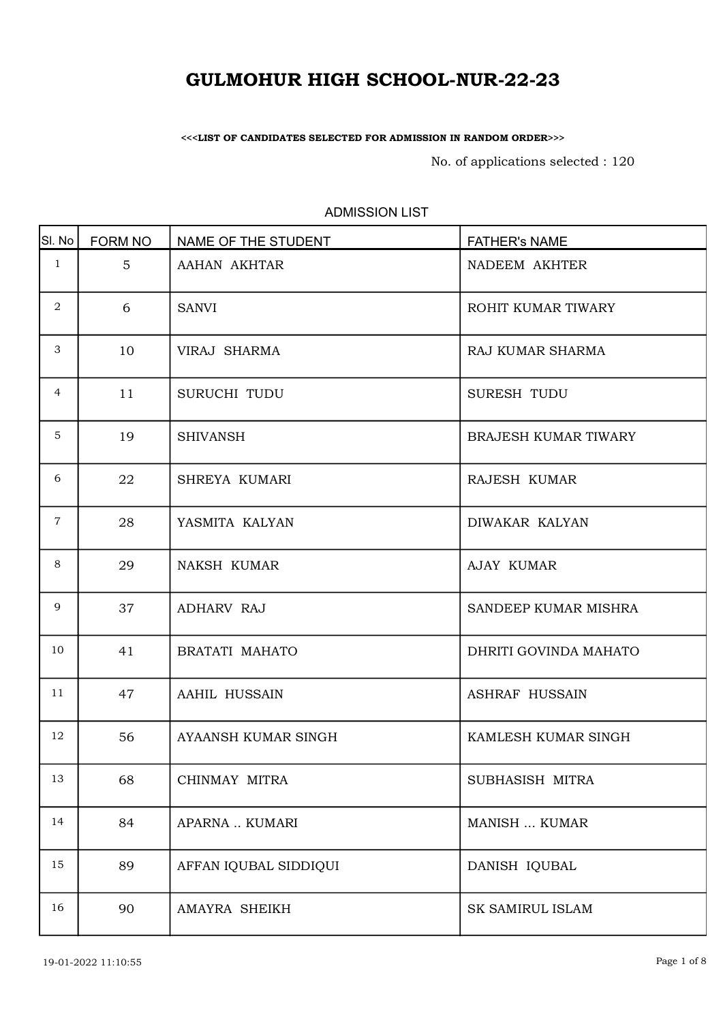<<<LIST OF CANDIDATES SELECTED FOR ADMISSION IN RANDOM ORDER>>>

No. of applications selected : 120

| SI. No         | <b>FORM NO</b> | NAME OF THE STUDENT   | <b>FATHER's NAME</b>  |
|----------------|----------------|-----------------------|-----------------------|
| $\mathbf{1}$   | 5 <sup>5</sup> | AAHAN AKHTAR          | NADEEM AKHTER         |
| $\overline{2}$ | 6              | <b>SANVI</b>          | ROHIT KUMAR TIWARY    |
| 3              | 10             | VIRAJ SHARMA          | RAJ KUMAR SHARMA      |
| 4              | 11             | SURUCHI TUDU          | SURESH TUDU           |
| 5              | 19             | <b>SHIVANSH</b>       | BRAJESH KUMAR TIWARY  |
| 6              | 22             | SHREYA KUMARI         | RAJESH KUMAR          |
| $7\phantom{.}$ | 28             | YASMITA KALYAN        | DIWAKAR KALYAN        |
| 8              | 29             | <b>NAKSH KUMAR</b>    | AJAY KUMAR            |
| 9              | 37             | <b>ADHARV RAJ</b>     | SANDEEP KUMAR MISHRA  |
| 10             | 41             | BRATATI MAHATO        | DHRITI GOVINDA MAHATO |
| 11             | 47             | AAHIL HUSSAIN         | <b>ASHRAF HUSSAIN</b> |
| 12             | 56             | AYAANSH KUMAR SINGH   | KAMLESH KUMAR SINGH   |
| 13             | 68             | CHINMAY MITRA         | SUBHASISH MITRA       |
| 14             | 84             | APARNA  KUMARI        | MANISH  KUMAR         |
| 15             | 89             | AFFAN IQUBAL SIDDIQUI | DANISH IQUBAL         |
| 16             | 90             | AMAYRA SHEIKH         | SK SAMIRUL ISLAM      |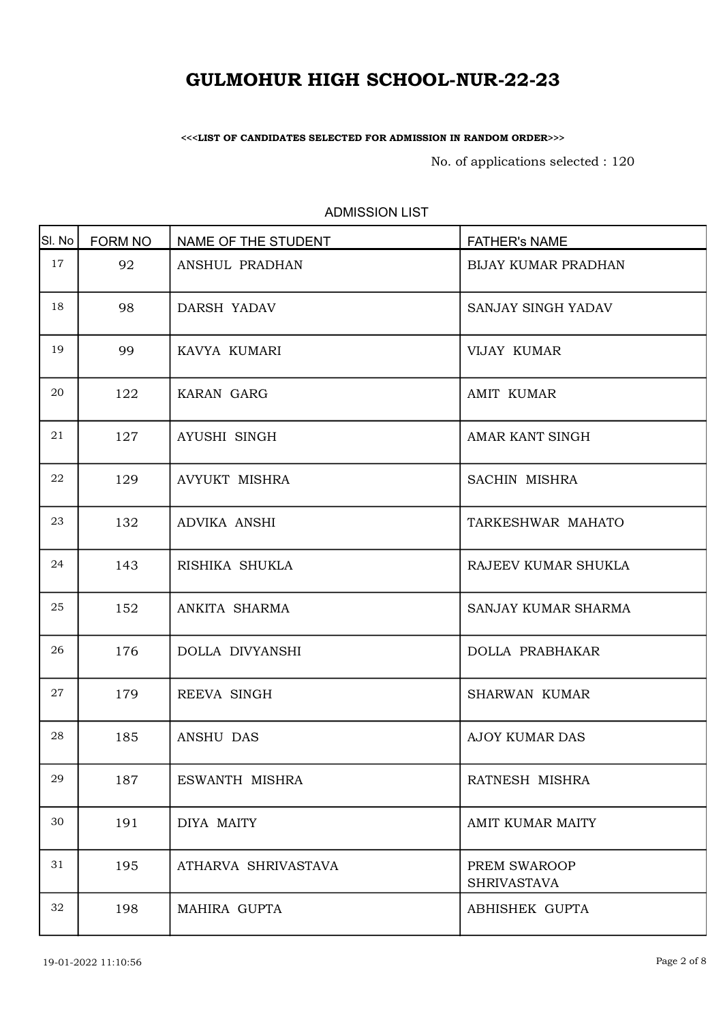<<<LIST OF CANDIDATES SELECTED FOR ADMISSION IN RANDOM ORDER>>>

No. of applications selected : 120

| SI. No | <b>FORM NO</b> | NAME OF THE STUDENT  | <b>FATHER's NAME</b>               |
|--------|----------------|----------------------|------------------------------------|
| 17     | 92             | ANSHUL PRADHAN       | <b>BIJAY KUMAR PRADHAN</b>         |
| 18     | 98             | DARSH YADAV          | SANJAY SINGH YADAV                 |
| 19     | 99             | KAVYA KUMARI         | VIJAY KUMAR                        |
| 20     | 122            | KARAN GARG           | <b>AMIT KUMAR</b>                  |
| 21     | 127            | AYUSHI SINGH         | AMAR KANT SINGH                    |
| 22     | 129            | <b>AVYUKT MISHRA</b> | SACHIN MISHRA                      |
| 23     | 132            | ADVIKA ANSHI         | TARKESHWAR MAHATO                  |
| 24     | 143            | RISHIKA SHUKLA       | RAJEEV KUMAR SHUKLA                |
| 25     | 152            | ANKITA SHARMA        | SANJAY KUMAR SHARMA                |
| 26     | 176            | DOLLA DIVYANSHI      | <b>DOLLA PRABHAKAR</b>             |
| 27     | 179            | REEVA SINGH          | <b>SHARWAN KUMAR</b>               |
| 28     | 185            | ANSHU DAS            | <b>AJOY KUMAR DAS</b>              |
| 29     | 187            | ESWANTH MISHRA       | RATNESH MISHRA                     |
| 30     | 191            | DIYA MAITY           | AMIT KUMAR MAITY                   |
| 31     | 195            | ATHARVA SHRIVASTAVA  | PREM SWAROOP<br><b>SHRIVASTAVA</b> |
| 32     | 198            | MAHIRA GUPTA         | ABHISHEK GUPTA                     |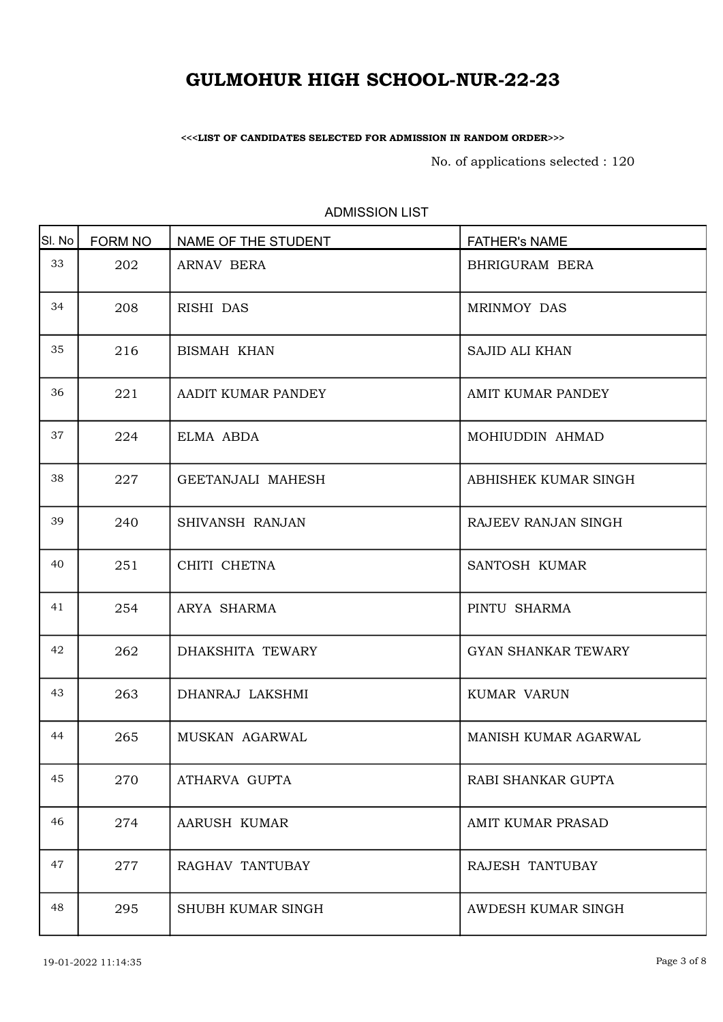<<<LIST OF CANDIDATES SELECTED FOR ADMISSION IN RANDOM ORDER>>>

No. of applications selected : 120

| SI. No | <b>FORM NO</b> | NAME OF THE STUDENT | <b>FATHER's NAME</b>       |
|--------|----------------|---------------------|----------------------------|
| 33     | 202            | ARNAV BERA          | BHRIGURAM BERA             |
| 34     | 208            | RISHI DAS           | MRINMOY DAS                |
| 35     | 216            | <b>BISMAH KHAN</b>  | <b>SAJID ALI KHAN</b>      |
| 36     | 221            | AADIT KUMAR PANDEY  | AMIT KUMAR PANDEY          |
| 37     | 224            | ELMA ABDA           | MOHIUDDIN AHMAD            |
| 38     | 227            | GEETANJALI MAHESH   | ABHISHEK KUMAR SINGH       |
| 39     | 240            | SHIVANSH RANJAN     | RAJEEV RANJAN SINGH        |
| 40     | 251            | CHITI CHETNA        | SANTOSH KUMAR              |
| 41     | 254            | ARYA SHARMA         | PINTU SHARMA               |
| 42     | 262            | DHAKSHITA TEWARY    | <b>GYAN SHANKAR TEWARY</b> |
| 43     | 263            | DHANRAJ LAKSHMI     | KUMAR VARUN                |
| 44     | 265            | MUSKAN AGARWAL      | MANISH KUMAR AGARWAL       |
| 45     | 270            | ATHARVA GUPTA       | RABI SHANKAR GUPTA         |
| 46     | 274            | AARUSH KUMAR        | AMIT KUMAR PRASAD          |
| 47     | 277            | RAGHAV TANTUBAY     | RAJESH TANTUBAY            |
| 48     | 295            | SHUBH KUMAR SINGH   | AWDESH KUMAR SINGH         |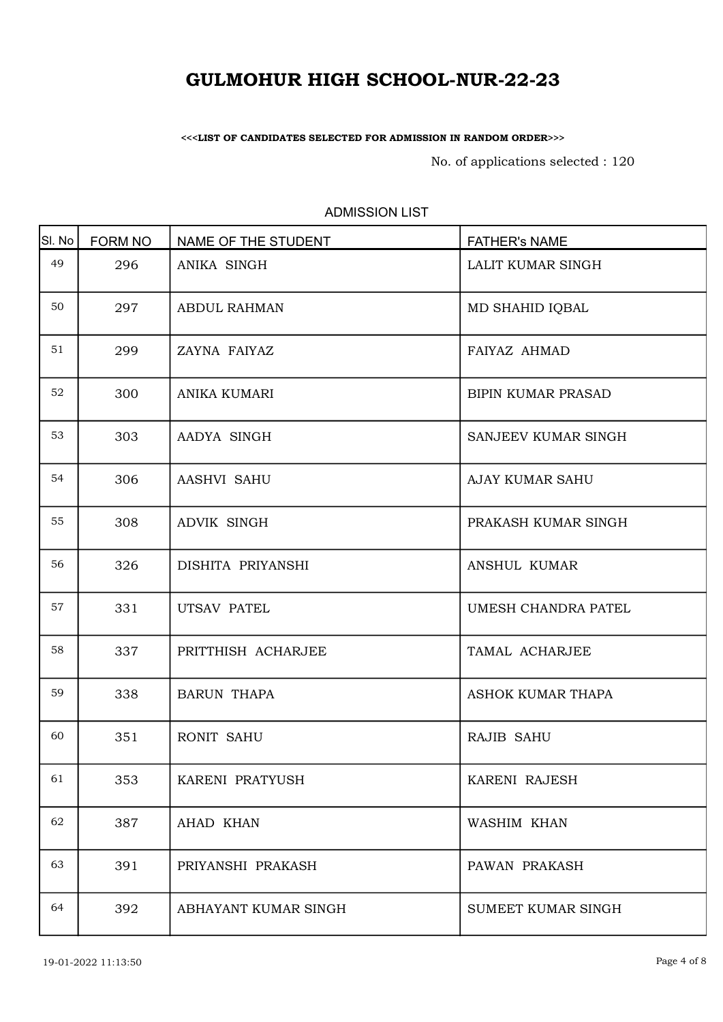<<<LIST OF CANDIDATES SELECTED FOR ADMISSION IN RANDOM ORDER>>>

No. of applications selected : 120

| SI. No | FORM NO | NAME OF THE STUDENT  | <b>FATHER's NAME</b>      |
|--------|---------|----------------------|---------------------------|
| 49     | 296     | ANIKA SINGH          | LALIT KUMAR SINGH         |
| 50     | 297     | <b>ABDUL RAHMAN</b>  | MD SHAHID IQBAL           |
| 51     | 299     | ZAYNA FAIYAZ         | FAIYAZ AHMAD              |
| 52     | 300     | ANIKA KUMARI         | <b>BIPIN KUMAR PRASAD</b> |
| 53     | 303     | AADYA SINGH          | SANJEEV KUMAR SINGH       |
| 54     | 306     | AASHVI SAHU          | AJAY KUMAR SAHU           |
| 55     | 308     | ADVIK SINGH          | PRAKASH KUMAR SINGH       |
| 56     | 326     | DISHITA PRIYANSHI    | ANSHUL KUMAR              |
| 57     | 331     | UTSAV PATEL          | UMESH CHANDRA PATEL       |
| 58     | 337     | PRITTHISH ACHARJEE   | TAMAL ACHARJEE            |
| 59     | 338     | <b>BARUN THAPA</b>   | ASHOK KUMAR THAPA         |
| 60     | 351     | <b>RONIT SAHU</b>    | RAJIB SAHU                |
| 61     | 353     | KARENI PRATYUSH      | KARENI RAJESH             |
| 62     | 387     | AHAD KHAN            | WASHIM KHAN               |
| 63     | 391     | PRIYANSHI PRAKASH    | PAWAN PRAKASH             |
| 64     | 392     | ABHAYANT KUMAR SINGH | SUMEET KUMAR SINGH        |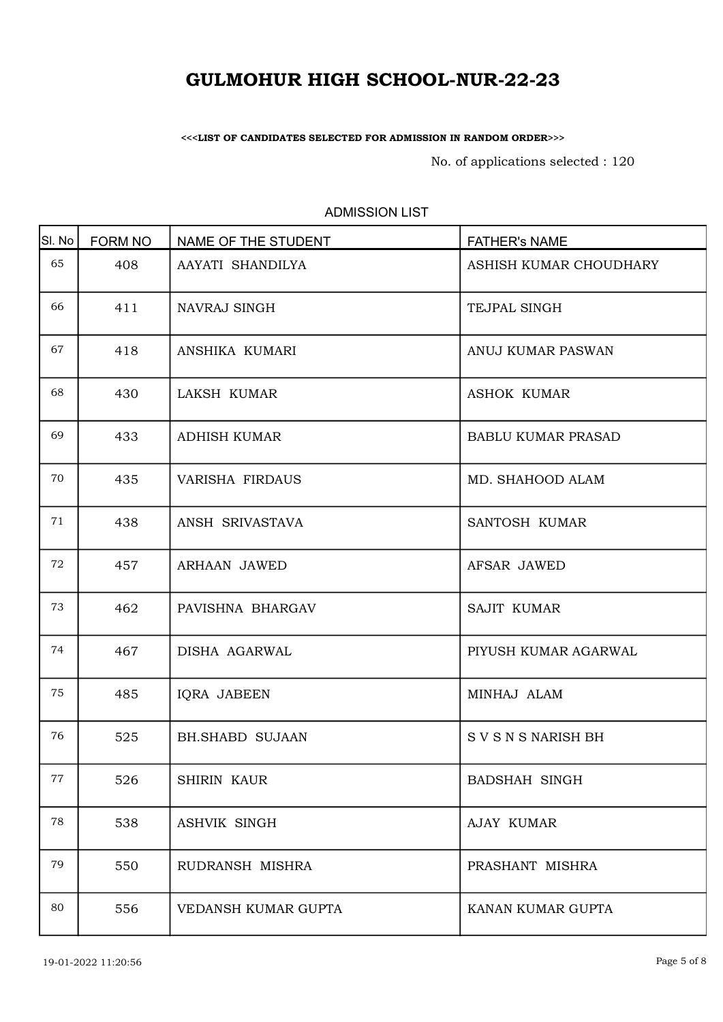<<<LIST OF CANDIDATES SELECTED FOR ADMISSION IN RANDOM ORDER>>>

No. of applications selected : 120

| SI. No | <b>FORM NO</b> | NAME OF THE STUDENT    | <b>FATHER's NAME</b>      |
|--------|----------------|------------------------|---------------------------|
| 65     | 408            | AAYATI SHANDILYA       | ASHISH KUMAR CHOUDHARY    |
| 66     | 411            | NAVRAJ SINGH           | TEJPAL SINGH              |
| 67     | 418            | ANSHIKA KUMARI         | ANUJ KUMAR PASWAN         |
| 68     | 430            | LAKSH KUMAR            | <b>ASHOK KUMAR</b>        |
| 69     | 433            | <b>ADHISH KUMAR</b>    | <b>BABLU KUMAR PRASAD</b> |
| 70     | 435            | VARISHA FIRDAUS        | MD. SHAHOOD ALAM          |
| 71     | 438            | ANSH SRIVASTAVA        | SANTOSH KUMAR             |
| 72     | 457            | ARHAAN JAWED           | AFSAR JAWED               |
| 73     | 462            | PAVISHNA BHARGAV       | <b>SAJIT KUMAR</b>        |
| 74     | 467            | DISHA AGARWAL          | PIYUSH KUMAR AGARWAL      |
| 75     | 485            | IQRA JABEEN            | MINHAJ ALAM               |
| 76     | 525            | <b>BH.SHABD SUJAAN</b> | S V S N S NARISH BH       |
| 77     | 526            | <b>SHIRIN KAUR</b>     | <b>BADSHAH SINGH</b>      |
| 78     | 538            | <b>ASHVIK SINGH</b>    | AJAY KUMAR                |
| 79     | 550            | RUDRANSH MISHRA        | PRASHANT MISHRA           |
| 80     | 556            | VEDANSH KUMAR GUPTA    | KANAN KUMAR GUPTA         |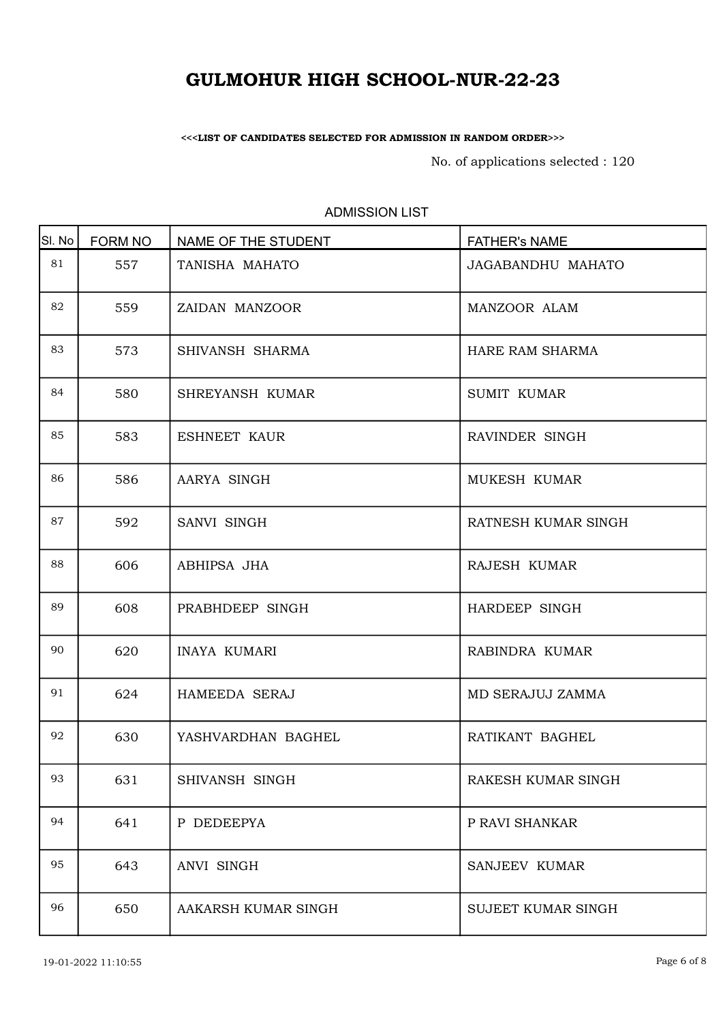<<<LIST OF CANDIDATES SELECTED FOR ADMISSION IN RANDOM ORDER>>>

No. of applications selected : 120

| SI. No | FORM NO | NAME OF THE STUDENT | <b>FATHER's NAME</b> |
|--------|---------|---------------------|----------------------|
| 81     | 557     | TANISHA MAHATO      | JAGABANDHU MAHATO    |
| 82     | 559     | ZAIDAN MANZOOR      | MANZOOR ALAM         |
| 83     | 573     | SHIVANSH SHARMA     | HARE RAM SHARMA      |
| 84     | 580     | SHREYANSH KUMAR     | <b>SUMIT KUMAR</b>   |
| 85     | 583     | ESHNEET KAUR        | RAVINDER SINGH       |
| 86     | 586     | AARYA SINGH         | MUKESH KUMAR         |
| 87     | 592     | SANVI SINGH         | RATNESH KUMAR SINGH  |
| 88     | 606     | ABHIPSA JHA         | RAJESH KUMAR         |
| 89     | 608     | PRABHDEEP SINGH     | HARDEEP SINGH        |
| 90     | 620     | <b>INAYA KUMARI</b> | RABINDRA KUMAR       |
| 91     | 624     | HAMEEDA SERAJ       | MD SERAJUJ ZAMMA     |
| 92     | 630     | YASHVARDHAN BAGHEL  | RATIKANT BAGHEL      |
| 93     | 631     | SHIVANSH SINGH      | RAKESH KUMAR SINGH   |
| 94     | 641     | P DEDEEPYA          | P RAVI SHANKAR       |
| 95     | 643     | ANVI SINGH          | SANJEEV KUMAR        |
| 96     | 650     | AAKARSH KUMAR SINGH | SUJEET KUMAR SINGH   |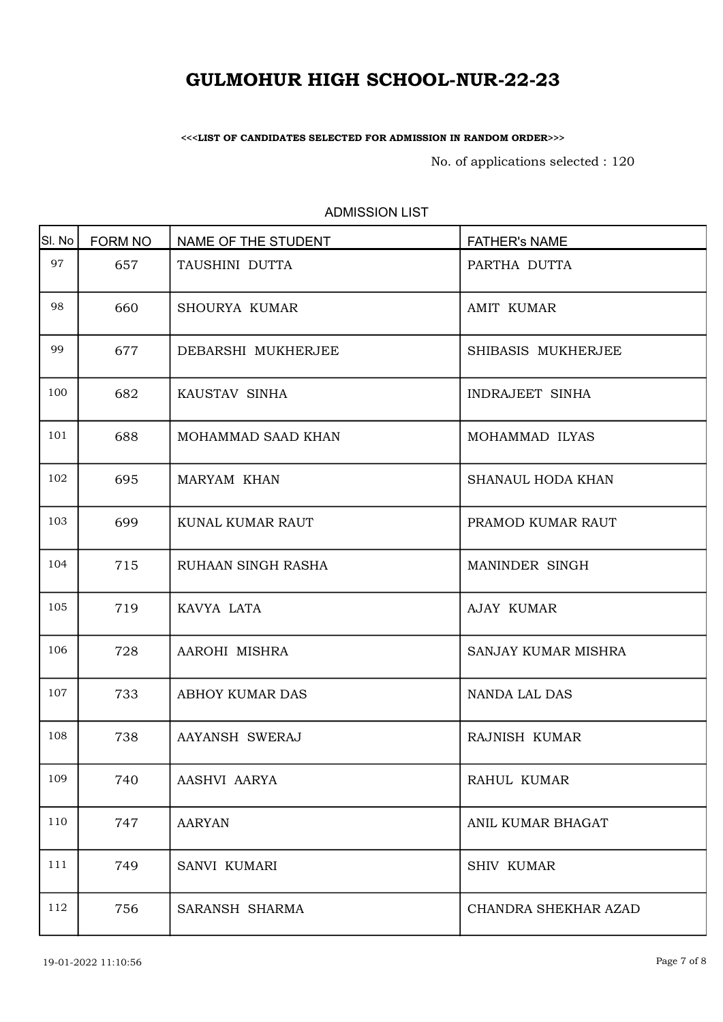<<<LIST OF CANDIDATES SELECTED FOR ADMISSION IN RANDOM ORDER>>>

No. of applications selected : 120

| SI. No | <b>FORM NO</b> | NAME OF THE STUDENT    | <b>FATHER's NAME</b> |
|--------|----------------|------------------------|----------------------|
| 97     | 657            | TAUSHINI DUTTA         | PARTHA DUTTA         |
| 98     | 660            | SHOURYA KUMAR          | <b>AMIT KUMAR</b>    |
| 99     | 677            | DEBARSHI MUKHERJEE     | SHIBASIS MUKHERJEE   |
| 100    | 682            | KAUSTAV SINHA          | INDRAJEET SINHA      |
| 101    | 688            | MOHAMMAD SAAD KHAN     | MOHAMMAD ILYAS       |
| 102    | 695            | MARYAM KHAN            | SHANAUL HODA KHAN    |
| 103    | 699            | KUNAL KUMAR RAUT       | PRAMOD KUMAR RAUT    |
| 104    | 715            | RUHAAN SINGH RASHA     | MANINDER SINGH       |
| 105    | 719            | KAVYA LATA             | <b>AJAY KUMAR</b>    |
| 106    | 728            | AAROHI MISHRA          | SANJAY KUMAR MISHRA  |
| 107    | 733            | <b>ABHOY KUMAR DAS</b> | <b>NANDA LAL DAS</b> |
| 108    | 738            | AAYANSH SWERAJ         | RAJNISH KUMAR        |
| 109    | 740            | AASHVI AARYA           | RAHUL KUMAR          |
| 110    | 747            | <b>AARYAN</b>          | ANIL KUMAR BHAGAT    |
| 111    | 749            | SANVI KUMARI           | <b>SHIV KUMAR</b>    |
| 112    | 756            | SARANSH SHARMA         | CHANDRA SHEKHAR AZAD |